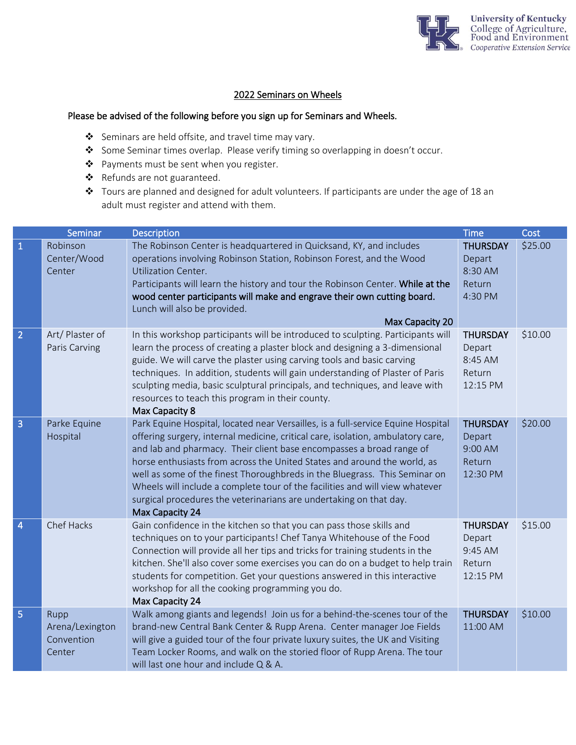

## 2022 Seminars on Wheels

## Please be advised of the following before you sign up for Seminars and Wheels.

- ❖ Seminars are held offsite, and travel time may vary.
- ❖ Some Seminar times overlap. Please verify timing so overlapping in doesn't occur.
- ❖ Payments must be sent when you register.
- ❖ Refunds are not guaranteed.
- ❖ Tours are planned and designed for adult volunteers. If participants are under the age of 18 an adult must register and attend with them.

|                | Seminar                                         | <b>Description</b>                                                                                                                                                                                                                                                                                                                                                                                                                                                                                                                                                             | <b>Time</b>                                                | Cost    |
|----------------|-------------------------------------------------|--------------------------------------------------------------------------------------------------------------------------------------------------------------------------------------------------------------------------------------------------------------------------------------------------------------------------------------------------------------------------------------------------------------------------------------------------------------------------------------------------------------------------------------------------------------------------------|------------------------------------------------------------|---------|
| $\mathbf{1}$   | Robinson<br>Center/Wood<br>Center               | The Robinson Center is headquartered in Quicksand, KY, and includes<br>operations involving Robinson Station, Robinson Forest, and the Wood<br><b>Utilization Center.</b><br>Participants will learn the history and tour the Robinson Center. While at the<br>wood center participants will make and engrave their own cutting board.<br>Lunch will also be provided.<br>Max Capacity 20                                                                                                                                                                                      | <b>THURSDAY</b><br>Depart<br>8:30 AM<br>Return<br>4:30 PM  | \$25.00 |
| $\overline{2}$ | Art/Plaster of<br>Paris Carving                 | In this workshop participants will be introduced to sculpting. Participants will<br>learn the process of creating a plaster block and designing a 3-dimensional<br>guide. We will carve the plaster using carving tools and basic carving<br>techniques. In addition, students will gain understanding of Plaster of Paris<br>sculpting media, basic sculptural principals, and techniques, and leave with<br>resources to teach this program in their county.<br>Max Capacity 8                                                                                               | <b>THURSDAY</b><br>Depart<br>8:45 AM<br>Return<br>12:15 PM | \$10.00 |
| 3              | Parke Equine<br>Hospital                        | Park Equine Hospital, located near Versailles, is a full-service Equine Hospital<br>offering surgery, internal medicine, critical care, isolation, ambulatory care,<br>and lab and pharmacy. Their client base encompasses a broad range of<br>horse enthusiasts from across the United States and around the world, as<br>well as some of the finest Thoroughbreds in the Bluegrass. This Seminar on<br>Wheels will include a complete tour of the facilities and will view whatever<br>surgical procedures the veterinarians are undertaking on that day.<br>Max Capacity 24 | <b>THURSDAY</b><br>Depart<br>9:00 AM<br>Return<br>12:30 PM | \$20.00 |
| 4              | Chef Hacks                                      | Gain confidence in the kitchen so that you can pass those skills and<br>techniques on to your participants! Chef Tanya Whitehouse of the Food<br>Connection will provide all her tips and tricks for training students in the<br>kitchen. She'll also cover some exercises you can do on a budget to help train<br>students for competition. Get your questions answered in this interactive<br>workshop for all the cooking programming you do.<br>Max Capacity 24                                                                                                            | <b>THURSDAY</b><br>Depart<br>9:45 AM<br>Return<br>12:15 PM | \$15.00 |
| 5              | Rupp<br>Arena/Lexington<br>Convention<br>Center | Walk among giants and legends! Join us for a behind-the-scenes tour of the<br>brand-new Central Bank Center & Rupp Arena. Center manager Joe Fields<br>will give a guided tour of the four private luxury suites, the UK and Visiting<br>Team Locker Rooms, and walk on the storied floor of Rupp Arena. The tour<br>will last one hour and include Q & A.                                                                                                                                                                                                                     | <b>THURSDAY</b><br>11:00 AM                                | \$10.00 |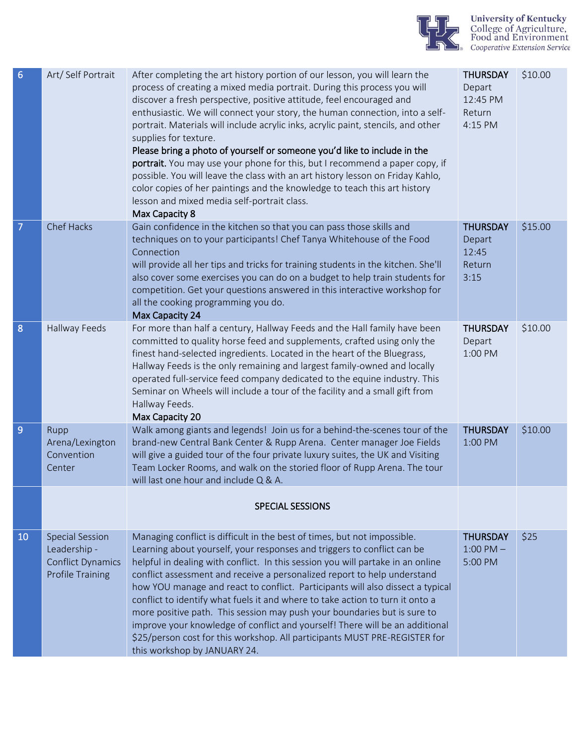

| $6\phantom{1}6$ | Art/Self Portrait                                                                             | After completing the art history portion of our lesson, you will learn the<br>process of creating a mixed media portrait. During this process you will<br>discover a fresh perspective, positive attitude, feel encouraged and<br>enthusiastic. We will connect your story, the human connection, into a self-<br>portrait. Materials will include acrylic inks, acrylic paint, stencils, and other<br>supplies for texture.<br>Please bring a photo of yourself or someone you'd like to include in the<br>portrait. You may use your phone for this, but I recommend a paper copy, if<br>possible. You will leave the class with an art history lesson on Friday Kahlo,<br>color copies of her paintings and the knowledge to teach this art history<br>lesson and mixed media self-portrait class.<br>Max Capacity 8 | <b>THURSDAY</b><br>Depart<br>12:45 PM<br>Return<br>4:15 PM | \$10.00 |
|-----------------|-----------------------------------------------------------------------------------------------|-------------------------------------------------------------------------------------------------------------------------------------------------------------------------------------------------------------------------------------------------------------------------------------------------------------------------------------------------------------------------------------------------------------------------------------------------------------------------------------------------------------------------------------------------------------------------------------------------------------------------------------------------------------------------------------------------------------------------------------------------------------------------------------------------------------------------|------------------------------------------------------------|---------|
| $\overline{7}$  | Chef Hacks                                                                                    | Gain confidence in the kitchen so that you can pass those skills and<br>techniques on to your participants! Chef Tanya Whitehouse of the Food<br>Connection<br>will provide all her tips and tricks for training students in the kitchen. She'll<br>also cover some exercises you can do on a budget to help train students for<br>competition. Get your questions answered in this interactive workshop for<br>all the cooking programming you do.<br>Max Capacity 24                                                                                                                                                                                                                                                                                                                                                  | <b>THURSDAY</b><br>Depart<br>12:45<br>Return<br>3:15       | \$15.00 |
| 8               | Hallway Feeds                                                                                 | For more than half a century, Hallway Feeds and the Hall family have been<br>committed to quality horse feed and supplements, crafted using only the<br>finest hand-selected ingredients. Located in the heart of the Bluegrass,<br>Hallway Feeds is the only remaining and largest family-owned and locally<br>operated full-service feed company dedicated to the equine industry. This<br>Seminar on Wheels will include a tour of the facility and a small gift from<br>Hallway Feeds.<br>Max Capacity 20                                                                                                                                                                                                                                                                                                           | <b>THURSDAY</b><br>Depart<br>1:00 PM                       | \$10.00 |
| 9               | Rupp<br>Arena/Lexington<br>Convention<br>Center                                               | Walk among giants and legends! Join us for a behind-the-scenes tour of the<br>brand-new Central Bank Center & Rupp Arena. Center manager Joe Fields<br>will give a guided tour of the four private luxury suites, the UK and Visiting<br>Team Locker Rooms, and walk on the storied floor of Rupp Arena. The tour<br>will last one hour and include Q & A.                                                                                                                                                                                                                                                                                                                                                                                                                                                              | <b>THURSDAY</b><br>1:00 PM                                 | \$10.00 |
|                 |                                                                                               | <b>SPECIAL SESSIONS</b>                                                                                                                                                                                                                                                                                                                                                                                                                                                                                                                                                                                                                                                                                                                                                                                                 |                                                            |         |
| 10              | <b>Special Session</b><br>Leadership -<br><b>Conflict Dynamics</b><br><b>Profile Training</b> | Managing conflict is difficult in the best of times, but not impossible.<br>Learning about yourself, your responses and triggers to conflict can be<br>helpful in dealing with conflict. In this session you will partake in an online<br>conflict assessment and receive a personalized report to help understand<br>how YOU manage and react to conflict. Participants will also dissect a typical<br>conflict to identify what fuels it and where to take action to turn it onto a<br>more positive path. This session may push your boundaries but is sure to<br>improve your knowledge of conflict and yourself! There will be an additional<br>\$25/person cost for this workshop. All participants MUST PRE-REGISTER for<br>this workshop by JANUARY 24.                                                         | <b>THURSDAY</b><br>$1:00$ PM $-$<br>5:00 PM                | \$25    |